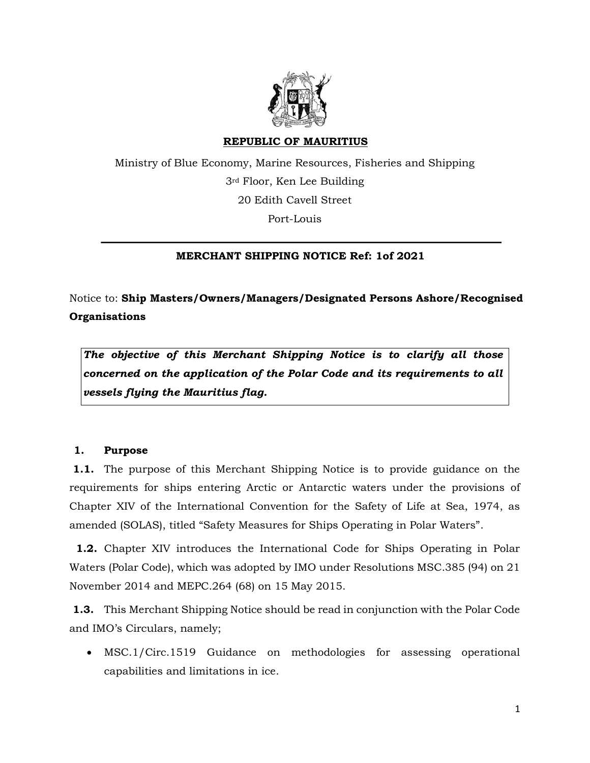

## **REPUBLIC OF MAURITIUS**

Ministry of Blue Economy, Marine Resources, Fisheries and Shipping 3rd Floor, Ken Lee Building 20 Edith Cavell Street Port-Louis

# **MERCHANT SHIPPING NOTICE Ref: 1of 2021**

Notice to: **Ship Masters/Owners/Managers/Designated Persons Ashore/Recognised Organisations**

*The objective of this Merchant Shipping Notice is to clarify all those concerned on the application of the Polar Code and its requirements to all vessels flying the Mauritius flag.* 

## **1. Purpose**

**1.1.** The purpose of this Merchant Shipping Notice is to provide guidance on the requirements for ships entering Arctic or Antarctic waters under the provisions of Chapter XIV of the International Convention for the Safety of Life at Sea, 1974, as amended (SOLAS), titled "Safety Measures for Ships Operating in Polar Waters".

**1.2.** Chapter XIV introduces the International Code for Ships Operating in Polar Waters (Polar Code), which was adopted by IMO under Resolutions MSC.385 (94) on 21 November 2014 and MEPC.264 (68) on 15 May 2015.

**1.3.** This Merchant Shipping Notice should be read in conjunction with the Polar Code and IMO's Circulars, namely;

 MSC.1/Circ.1519 Guidance on methodologies for assessing operational capabilities and limitations in ice.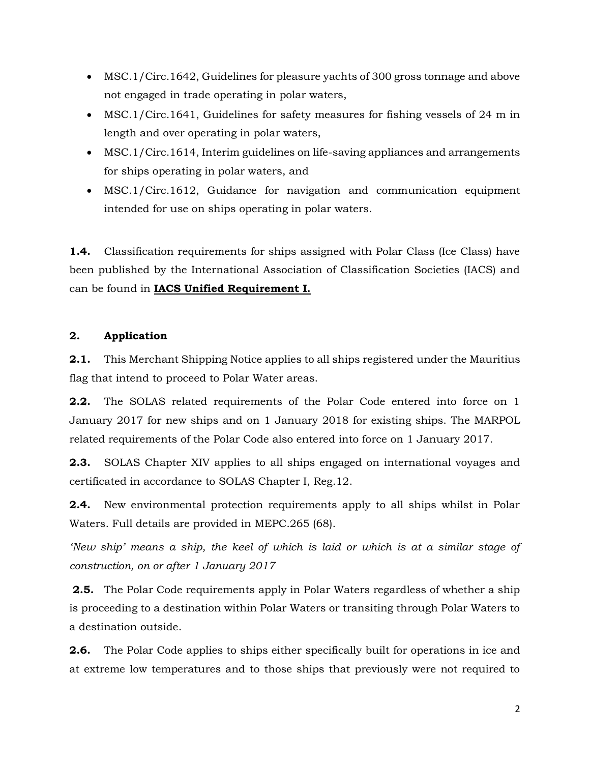- MSC.1/Circ.1642, Guidelines for pleasure yachts of 300 gross tonnage and above not engaged in trade operating in polar waters,
- MSC.1/Circ.1641, Guidelines for safety measures for fishing vessels of 24 m in length and over operating in polar waters,
- MSC.1/Circ.1614, Interim guidelines on life-saving appliances and arrangements for ships operating in polar waters, and
- MSC.1/Circ.1612, Guidance for navigation and communication equipment intended for use on ships operating in polar waters.

**1.4.** Classification requirements for ships assigned with Polar Class (Ice Class) have been published by the International Association of Classification Societies (IACS) and can be found in **IACS Unified Requirement I.**

# **2. Application**

**2.1.** This Merchant Shipping Notice applies to all ships registered under the Mauritius flag that intend to proceed to Polar Water areas.

**2.2.** The SOLAS related requirements of the Polar Code entered into force on 1 January 2017 for new ships and on 1 January 2018 for existing ships. The MARPOL related requirements of the Polar Code also entered into force on 1 January 2017.

**2.3.** SOLAS Chapter XIV applies to all ships engaged on international voyages and certificated in accordance to SOLAS Chapter I, Reg.12.

**2.4.** New environmental protection requirements apply to all ships whilst in Polar Waters. Full details are provided in MEPC.265 (68).

*'New ship' means a ship, the keel of which is laid or which is at a similar stage of construction, on or after 1 January 2017*

**2.5.** The Polar Code requirements apply in Polar Waters regardless of whether a ship is proceeding to a destination within Polar Waters or transiting through Polar Waters to a destination outside.

**2.6.** The Polar Code applies to ships either specifically built for operations in ice and at extreme low temperatures and to those ships that previously were not required to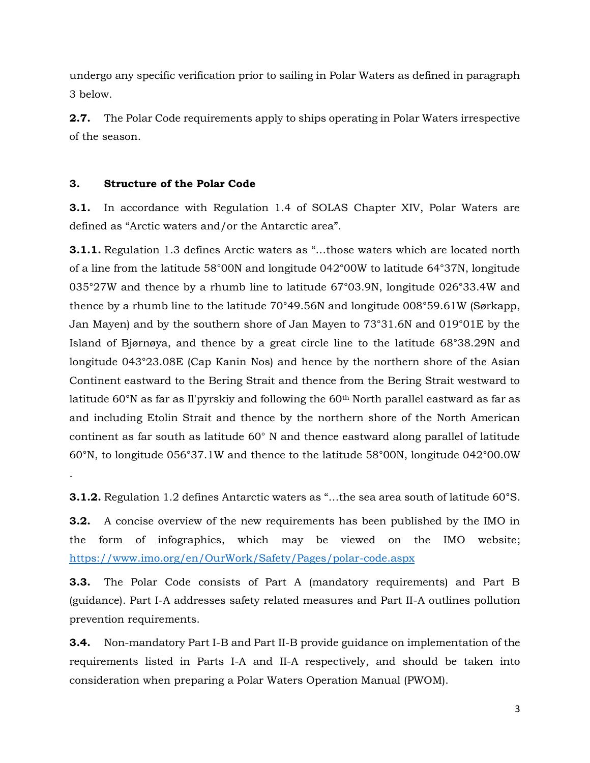undergo any specific verification prior to sailing in Polar Waters as defined in paragraph 3 below.

**2.7.** The Polar Code requirements apply to ships operating in Polar Waters irrespective of the season.

## **3. Structure of the Polar Code**

.

**3.1.** In accordance with Regulation 1.4 of SOLAS Chapter XIV, Polar Waters are defined as "Arctic waters and/or the Antarctic area".

**3.1.1.** Regulation 1.3 defines Arctic waters as "…those waters which are located north of a line from the latitude 58°00N and longitude 042°00W to latitude 64°37N, longitude 035°27W and thence by a rhumb line to latitude 67°03.9N, longitude 026°33.4W and thence by a rhumb line to the latitude 70°49.56N and longitude 008°59.61W (Sørkapp, Jan Mayen) and by the southern shore of Jan Mayen to 73°31.6N and 019°01E by the Island of Bjørnøya, and thence by a great circle line to the latitude 68°38.29N and longitude 043°23.08E (Cap Kanin Nos) and hence by the northern shore of the Asian Continent eastward to the Bering Strait and thence from the Bering Strait westward to latitude  $60^{\circ}$ N as far as Il'pyrskiy and following the  $60^{\text{th}}$  North parallel eastward as far as and including Etolin Strait and thence by the northern shore of the North American continent as far south as latitude 60° N and thence eastward along parallel of latitude 60°N, to longitude 056°37.1W and thence to the latitude 58°00N, longitude 042°00.0W

**3.1.2.** Regulation 1.2 defines Antarctic waters as "…the sea area south of latitude 60**°**S.

**3.2.** A concise overview of the new requirements has been published by the IMO in the form of infographics, which may be viewed on the IMO website; <https://www.imo.org/en/OurWork/Safety/Pages/polar-code.aspx>

**3.3.** The Polar Code consists of Part A (mandatory requirements) and Part B (guidance). Part I-A addresses safety related measures and Part II-A outlines pollution prevention requirements.

**3.4.** Non-mandatory Part I-B and Part II-B provide guidance on implementation of the requirements listed in Parts I-A and II-A respectively, and should be taken into consideration when preparing a Polar Waters Operation Manual (PWOM).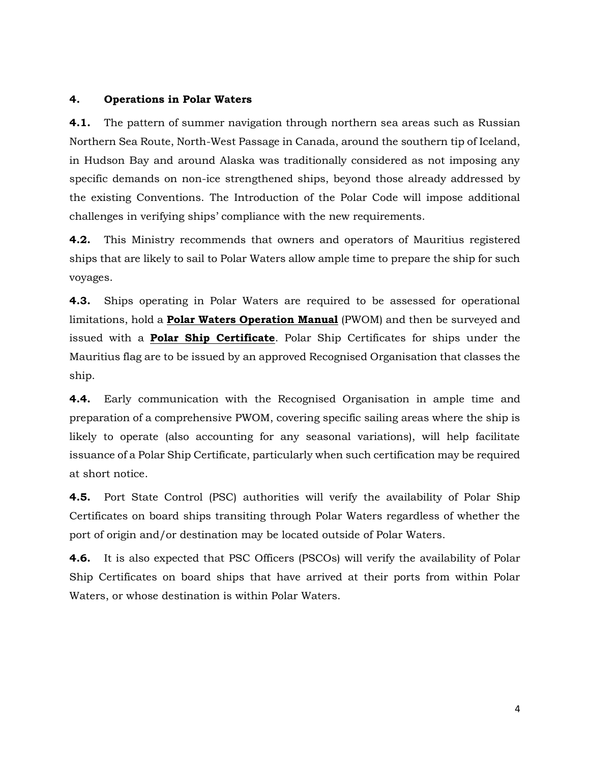#### **4. Operations in Polar Waters**

**4.1.** The pattern of summer navigation through northern sea areas such as Russian Northern Sea Route, North-West Passage in Canada, around the southern tip of Iceland, in Hudson Bay and around Alaska was traditionally considered as not imposing any specific demands on non-ice strengthened ships, beyond those already addressed by the existing Conventions. The Introduction of the Polar Code will impose additional challenges in verifying ships' compliance with the new requirements.

**4.2.** This Ministry recommends that owners and operators of Mauritius registered ships that are likely to sail to Polar Waters allow ample time to prepare the ship for such voyages.

**4.3.** Ships operating in Polar Waters are required to be assessed for operational limitations, hold a **Polar Waters Operation Manual** (PWOM) and then be surveyed and issued with a **Polar Ship Certificate**. Polar Ship Certificates for ships under the Mauritius flag are to be issued by an approved Recognised Organisation that classes the ship.

**4.4.** Early communication with the Recognised Organisation in ample time and preparation of a comprehensive PWOM, covering specific sailing areas where the ship is likely to operate (also accounting for any seasonal variations), will help facilitate issuance of a Polar Ship Certificate, particularly when such certification may be required at short notice.

**4.5.** Port State Control (PSC) authorities will verify the availability of Polar Ship Certificates on board ships transiting through Polar Waters regardless of whether the port of origin and/or destination may be located outside of Polar Waters.

**4.6.** It is also expected that PSC Officers (PSCOs) will verify the availability of Polar Ship Certificates on board ships that have arrived at their ports from within Polar Waters, or whose destination is within Polar Waters.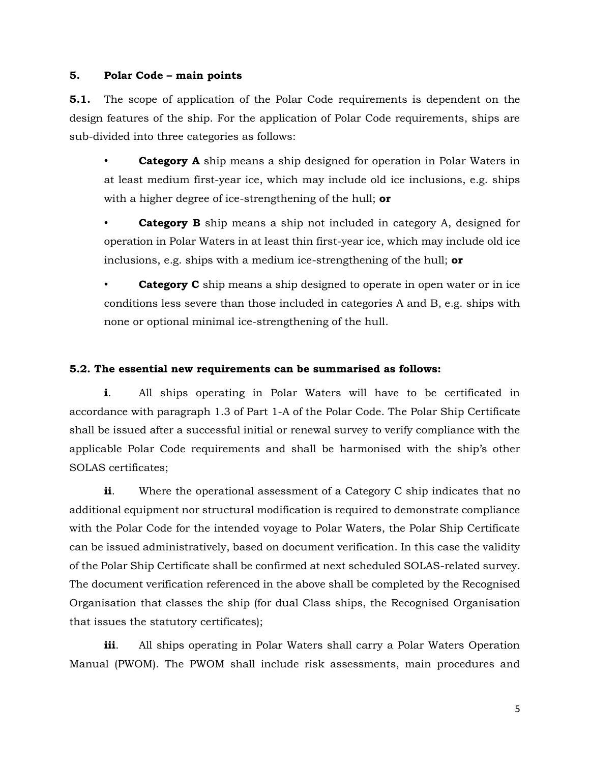#### **5. Polar Code – main points**

**5.1.** The scope of application of the Polar Code requirements is dependent on the design features of the ship. For the application of Polar Code requirements, ships are sub-divided into three categories as follows:

**Category A** ship means a ship designed for operation in Polar Waters in at least medium first-year ice, which may include old ice inclusions, e.g. ships with a higher degree of ice-strengthening of the hull; **or**

**Category B** ship means a ship not included in category A, designed for operation in Polar Waters in at least thin first-year ice, which may include old ice inclusions, e.g. ships with a medium ice-strengthening of the hull; **or**

**Category C** ship means a ship designed to operate in open water or in ice conditions less severe than those included in categories A and B, e.g. ships with none or optional minimal ice-strengthening of the hull.

## **5.2. The essential new requirements can be summarised as follows:**

**i**. All ships operating in Polar Waters will have to be certificated in accordance with paragraph 1.3 of Part 1-A of the Polar Code. The Polar Ship Certificate shall be issued after a successful initial or renewal survey to verify compliance with the applicable Polar Code requirements and shall be harmonised with the ship's other SOLAS certificates;

**ii**. Where the operational assessment of a Category C ship indicates that no additional equipment nor structural modification is required to demonstrate compliance with the Polar Code for the intended voyage to Polar Waters, the Polar Ship Certificate can be issued administratively, based on document verification. In this case the validity of the Polar Ship Certificate shall be confirmed at next scheduled SOLAS-related survey. The document verification referenced in the above shall be completed by the Recognised Organisation that classes the ship (for dual Class ships, the Recognised Organisation that issues the statutory certificates);

**iii**. All ships operating in Polar Waters shall carry a Polar Waters Operation Manual (PWOM). The PWOM shall include risk assessments, main procedures and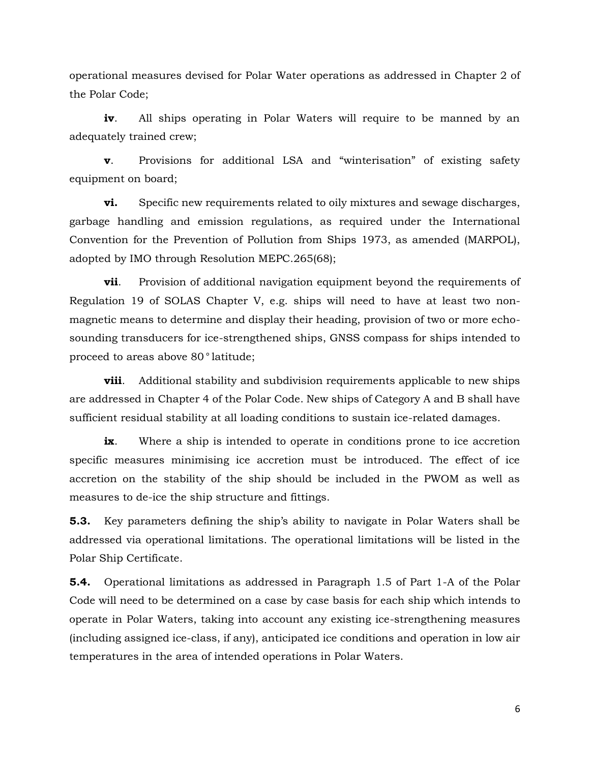operational measures devised for Polar Water operations as addressed in Chapter 2 of the Polar Code;

**iv.** All ships operating in Polar Waters will require to be manned by an adequately trained crew;

**v**. Provisions for additional LSA and "winterisation" of existing safety equipment on board;

**vi.** Specific new requirements related to oily mixtures and sewage discharges, garbage handling and emission regulations, as required under the International Convention for the Prevention of Pollution from Ships 1973, as amended (MARPOL), adopted by IMO through Resolution MEPC.265(68);

**vii**. Provision of additional navigation equipment beyond the requirements of Regulation 19 of SOLAS Chapter V, e.g. ships will need to have at least two nonmagnetic means to determine and display their heading, provision of two or more echosounding transducers for ice-strengthened ships, GNSS compass for ships intended to proceed to areas above 80*°* latitude;

**viii**. Additional stability and subdivision requirements applicable to new ships are addressed in Chapter 4 of the Polar Code. New ships of Category A and B shall have sufficient residual stability at all loading conditions to sustain ice-related damages.

**ix**. Where a ship is intended to operate in conditions prone to ice accretion specific measures minimising ice accretion must be introduced. The effect of ice accretion on the stability of the ship should be included in the PWOM as well as measures to de-ice the ship structure and fittings.

**5.3.** Key parameters defining the ship's ability to navigate in Polar Waters shall be addressed via operational limitations. The operational limitations will be listed in the Polar Ship Certificate.

**5.4.** Operational limitations as addressed in Paragraph 1.5 of Part 1-A of the Polar Code will need to be determined on a case by case basis for each ship which intends to operate in Polar Waters, taking into account any existing ice-strengthening measures (including assigned ice-class, if any), anticipated ice conditions and operation in low air temperatures in the area of intended operations in Polar Waters.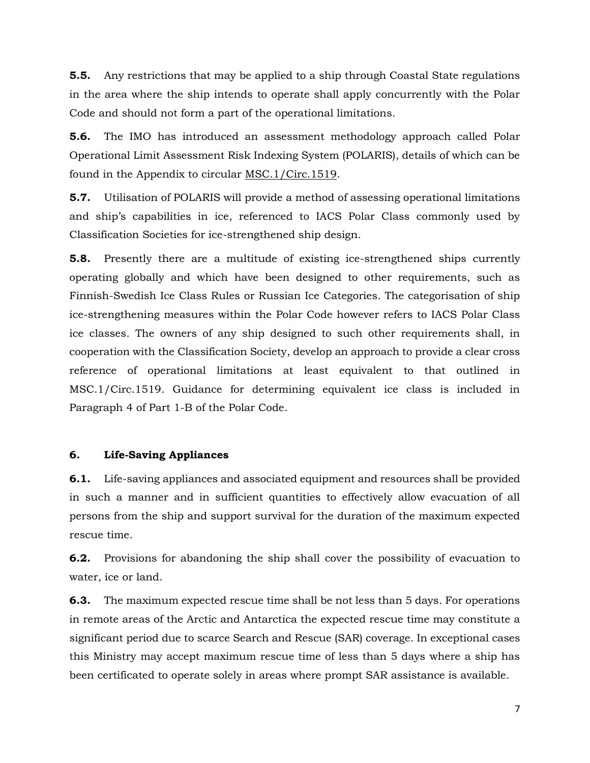**5.5.** Any restrictions that may be applied to a ship through Coastal State regulations in the area where the ship intends to operate shall apply concurrently with the Polar Code and should not form a part of the operational limitations.

**5.6.** The IMO has introduced an assessment methodology approach called Polar Operational Limit Assessment Risk Indexing System (POLARIS), details of which can be found in the Appendix to circular MSC.1/Circ.1519.

**5.7.** Utilisation of POLARIS will provide a method of assessing operational limitations and ship's capabilities in ice, referenced to IACS Polar Class commonly used by Classification Societies for ice-strengthened ship design.

**5.8.** Presently there are a multitude of existing ice-strengthened ships currently operating globally and which have been designed to other requirements, such as Finnish-Swedish Ice Class Rules or Russian Ice Categories. The categorisation of ship ice-strengthening measures within the Polar Code however refers to IACS Polar Class ice classes. The owners of any ship designed to such other requirements shall, in cooperation with the Classification Society, develop an approach to provide a clear cross reference of operational limitations at least equivalent to that outlined in MSC.1/Circ.1519. Guidance for determining equivalent ice class is included in Paragraph 4 of Part 1-B of the Polar Code.

#### **6. Life-Saving Appliances**

**6.1.** Life-saving appliances and associated equipment and resources shall be provided in such a manner and in sufficient quantities to effectively allow evacuation of all persons from the ship and support survival for the duration of the maximum expected rescue time.

**6.2.** Provisions for abandoning the ship shall cover the possibility of evacuation to water, ice or land.

**6.3.** The maximum expected rescue time shall be not less than 5 days. For operations in remote areas of the Arctic and Antarctica the expected rescue time may constitute a significant period due to scarce Search and Rescue (SAR) coverage. In exceptional cases this Ministry may accept maximum rescue time of less than 5 days where a ship has been certificated to operate solely in areas where prompt SAR assistance is available.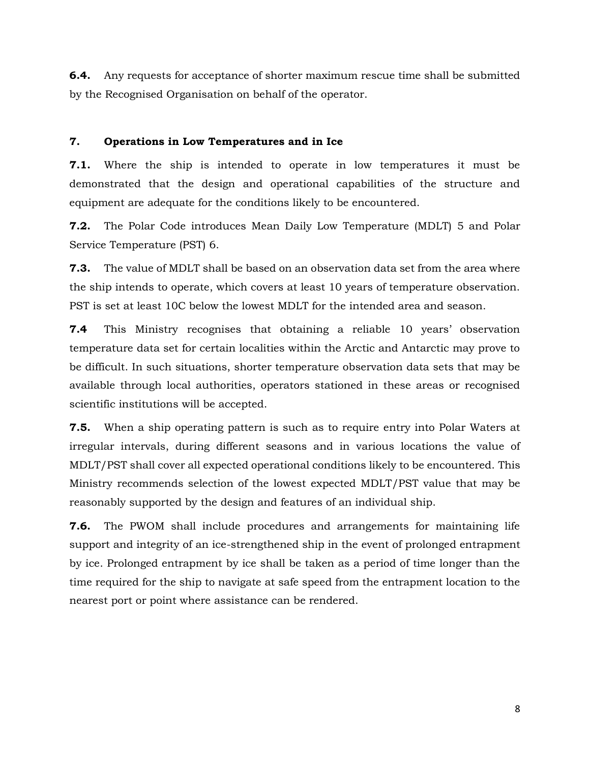**6.4.** Any requests for acceptance of shorter maximum rescue time shall be submitted by the Recognised Organisation on behalf of the operator.

## **7. Operations in Low Temperatures and in Ice**

**7.1.** Where the ship is intended to operate in low temperatures it must be demonstrated that the design and operational capabilities of the structure and equipment are adequate for the conditions likely to be encountered.

**7.2.** The Polar Code introduces Mean Daily Low Temperature (MDLT) 5 and Polar Service Temperature (PST) 6.

**7.3.** The value of MDLT shall be based on an observation data set from the area where the ship intends to operate, which covers at least 10 years of temperature observation. PST is set at least 10C below the lowest MDLT for the intended area and season.

**7.4** This Ministry recognises that obtaining a reliable 10 years' observation temperature data set for certain localities within the Arctic and Antarctic may prove to be difficult. In such situations, shorter temperature observation data sets that may be available through local authorities, operators stationed in these areas or recognised scientific institutions will be accepted.

**7.5.** When a ship operating pattern is such as to require entry into Polar Waters at irregular intervals, during different seasons and in various locations the value of MDLT/PST shall cover all expected operational conditions likely to be encountered. This Ministry recommends selection of the lowest expected MDLT/PST value that may be reasonably supported by the design and features of an individual ship.

**7.6.** The PWOM shall include procedures and arrangements for maintaining life support and integrity of an ice-strengthened ship in the event of prolonged entrapment by ice. Prolonged entrapment by ice shall be taken as a period of time longer than the time required for the ship to navigate at safe speed from the entrapment location to the nearest port or point where assistance can be rendered.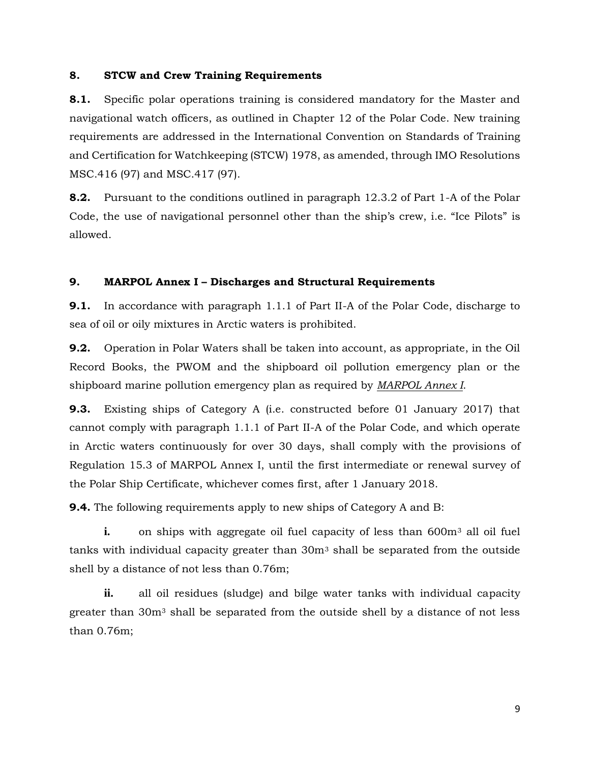#### **8. STCW and Crew Training Requirements**

**8.1.** Specific polar operations training is considered mandatory for the Master and navigational watch officers, as outlined in Chapter 12 of the Polar Code. New training requirements are addressed in the International Convention on Standards of Training and Certification for Watchkeeping (STCW) 1978, as amended, through IMO Resolutions MSC.416 (97) and MSC.417 (97).

**8.2.** Pursuant to the conditions outlined in paragraph 12.3.2 of Part 1-A of the Polar Code, the use of navigational personnel other than the ship's crew, i.e. "Ice Pilots" is allowed.

## **9. MARPOL Annex I – Discharges and Structural Requirements**

**9.1.** In accordance with paragraph 1.1.1 of Part II-A of the Polar Code, discharge to sea of oil or oily mixtures in Arctic waters is prohibited.

**9.2.** Operation in Polar Waters shall be taken into account, as appropriate, in the Oil Record Books, the PWOM and the shipboard oil pollution emergency plan or the shipboard marine pollution emergency plan as required by *MARPOL Annex I*.

**9.3.** Existing ships of Category A (i.e. constructed before 01 January 2017) that cannot comply with paragraph 1.1.1 of Part II-A of the Polar Code, and which operate in Arctic waters continuously for over 30 days, shall comply with the provisions of Regulation 15.3 of MARPOL Annex I, until the first intermediate or renewal survey of the Polar Ship Certificate, whichever comes first, after 1 January 2018.

**9.4.** The following requirements apply to new ships of Category A and B:

**i.** on ships with aggregate oil fuel capacity of less than 600m<sup>3</sup> all oil fuel tanks with individual capacity greater than 30m<sup>3</sup> shall be separated from the outside shell by a distance of not less than 0.76m;

**ii.** all oil residues (sludge) and bilge water tanks with individual capacity greater than 30m<sup>3</sup> shall be separated from the outside shell by a distance of not less than 0.76m;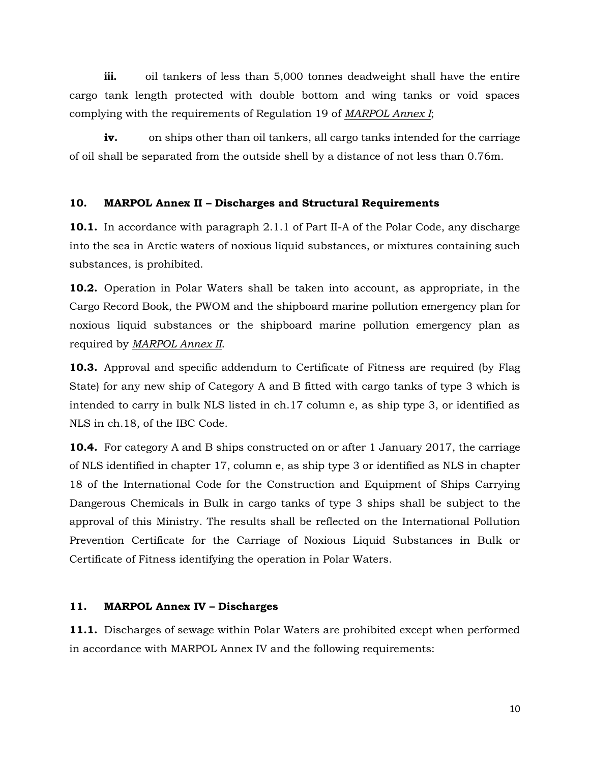**iii.** oil tankers of less than 5,000 tonnes deadweight shall have the entire cargo tank length protected with double bottom and wing tanks or void spaces complying with the requirements of Regulation 19 of *MARPOL Annex I*;

**iv.** on ships other than oil tankers, all cargo tanks intended for the carriage of oil shall be separated from the outside shell by a distance of not less than 0.76m.

## **10. MARPOL Annex II – Discharges and Structural Requirements**

**10.1.** In accordance with paragraph 2.1.1 of Part II-A of the Polar Code, any discharge into the sea in Arctic waters of noxious liquid substances, or mixtures containing such substances, is prohibited.

**10.2.** Operation in Polar Waters shall be taken into account, as appropriate, in the Cargo Record Book, the PWOM and the shipboard marine pollution emergency plan for noxious liquid substances or the shipboard marine pollution emergency plan as required by *MARPOL Annex II*.

**10.3.** Approval and specific addendum to Certificate of Fitness are required (by Flag State) for any new ship of Category A and B fitted with cargo tanks of type 3 which is intended to carry in bulk NLS listed in ch.17 column e, as ship type 3, or identified as NLS in ch.18, of the IBC Code.

**10.4.** For category A and B ships constructed on or after 1 January 2017, the carriage of NLS identified in chapter 17, column e, as ship type 3 or identified as NLS in chapter 18 of the International Code for the Construction and Equipment of Ships Carrying Dangerous Chemicals in Bulk in cargo tanks of type 3 ships shall be subject to the approval of this Ministry. The results shall be reflected on the International Pollution Prevention Certificate for the Carriage of Noxious Liquid Substances in Bulk or Certificate of Fitness identifying the operation in Polar Waters.

## **11. MARPOL Annex IV – Discharges**

**11.1.** Discharges of sewage within Polar Waters are prohibited except when performed in accordance with MARPOL Annex IV and the following requirements: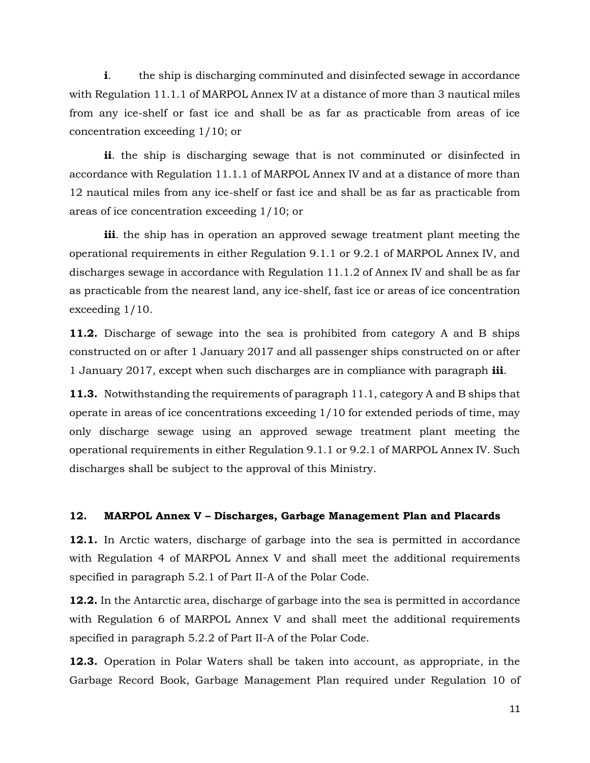**i**. the ship is discharging comminuted and disinfected sewage in accordance with Regulation 11.1.1 of MARPOL Annex IV at a distance of more than 3 nautical miles from any ice-shelf or fast ice and shall be as far as practicable from areas of ice concentration exceeding 1/10; or

**ii**. the ship is discharging sewage that is not comminuted or disinfected in accordance with Regulation 11.1.1 of MARPOL Annex IV and at a distance of more than 12 nautical miles from any ice-shelf or fast ice and shall be as far as practicable from areas of ice concentration exceeding 1/10; or

**iii**. the ship has in operation an approved sewage treatment plant meeting the operational requirements in either Regulation 9.1.1 or 9.2.1 of MARPOL Annex IV, and discharges sewage in accordance with Regulation 11.1.2 of Annex IV and shall be as far as practicable from the nearest land, any ice-shelf, fast ice or areas of ice concentration exceeding 1/10.

**11.2.** Discharge of sewage into the sea is prohibited from category A and B ships constructed on or after 1 January 2017 and all passenger ships constructed on or after 1 January 2017, except when such discharges are in compliance with paragraph **iii**.

**11.3.** Notwithstanding the requirements of paragraph 11.1, category A and B ships that operate in areas of ice concentrations exceeding 1/10 for extended periods of time, may only discharge sewage using an approved sewage treatment plant meeting the operational requirements in either Regulation 9.1.1 or 9.2.1 of MARPOL Annex IV. Such discharges shall be subject to the approval of this Ministry.

#### **12. MARPOL Annex V – Discharges, Garbage Management Plan and Placards**

**12.1.** In Arctic waters, discharge of garbage into the sea is permitted in accordance with Regulation 4 of MARPOL Annex V and shall meet the additional requirements specified in paragraph 5.2.1 of Part II-A of the Polar Code.

**12.2.** In the Antarctic area, discharge of garbage into the sea is permitted in accordance with Regulation 6 of MARPOL Annex V and shall meet the additional requirements specified in paragraph 5.2.2 of Part II-A of the Polar Code.

**12.3.** Operation in Polar Waters shall be taken into account, as appropriate, in the Garbage Record Book, Garbage Management Plan required under Regulation 10 of